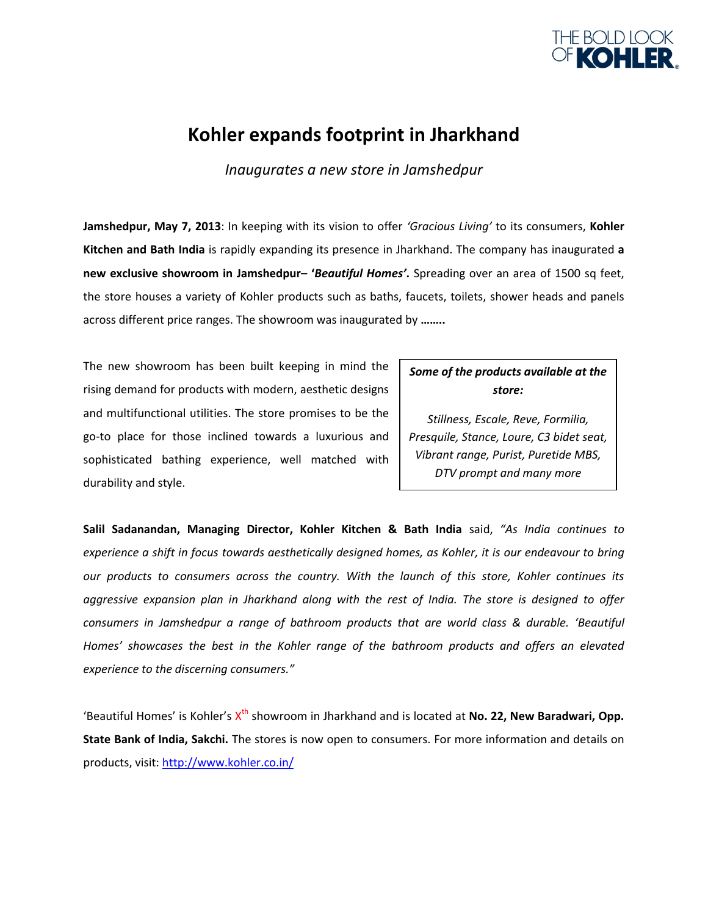

# **Kohler expands footprint in Jharkhand**

*Inaugurates a new store in Jamshedpur*

**Jamshedpur, May 7, 2013**: In keeping with its vision to offer *'Gracious Living'* to its consumers, **Kohler Kitchen and Bath India** is rapidly expanding its presence in Jharkhand. The company has inaugurated **a new exclusive showroom in Jamshedpur– '***Beautiful Homes'***.** Spreading over an area of 1500 sq feet, the store houses a variety of Kohler products such as baths, faucets, toilets, shower heads and panels across different price ranges. The showroom was inaugurated by **……..**

The new showroom has been built keeping in mind the rising demand for products with modern, aesthetic designs and multifunctional utilities. The store promises to be the go-to place for those inclined towards a luxurious and sophisticated bathing experience, well matched with durability and style.

## *Some of the products available at the store:*

*Stillness, Escale, Reve, Formilia, Presquile, Stance, Loure, C3 bidet seat, Vibrant range, Purist, Puretide MBS, DTV prompt and many more*

**Salil Sadanandan, Managing Director, Kohler Kitchen & Bath India** said, *"As India continues to experience a shift in focus towards aesthetically designed homes, as Kohler, it is our endeavour to bring our products to consumers across the country. With the launch of this store, Kohler continues its aggressive expansion plan in Jharkhand along with the rest of India. The store is designed to offer consumers in Jamshedpur a range of bathroom products that are world class & durable. 'Beautiful Homes' showcases the best in the Kohler range of the bathroom products and offers an elevated experience to the discerning consumers."*

'Beautiful Homes' is Kohler's X<sup>th</sup> showroom in Jharkhand and is located at **No. 22, New Baradwari, Opp. State Bank of India, Sakchi.** The stores is now open to consumers. For more information and details on products, visit:<http://www.kohler.co.in/>